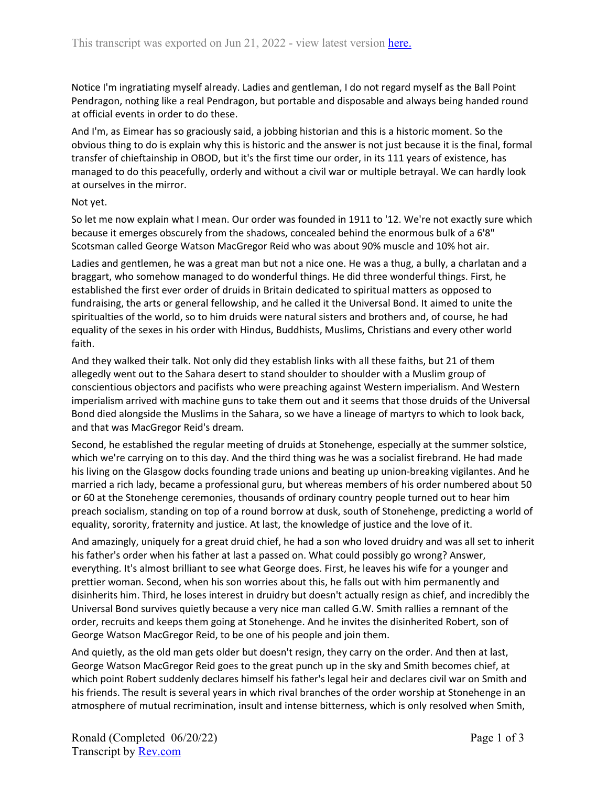Notice I'm ingratiating myself already. Ladies and gentleman, I do not regard myself as the Ball Point Pendragon, nothing like a real Pendragon, but portable and disposable and always being handed round at official events in order to do these.

And I'm, as Eimear has so graciously said, a jobbing historian and this is a historic moment. So the obvious thing to do is explain why this is historic and the answer is not just because it is the final, formal transfer of chieftainship in OBOD, but it's the first time our order, in its 111 years of existence, has managed to do this peacefully, orderly and without a civil war or multiple betrayal. We can hardly look at ourselves in the mirror.

## Not yet.

So let me now explain what I mean. Our order was founded in 1911 to '12. We're not exactly sure which because it emerges obscurely from the shadows, concealed behind the enormous bulk of a 6'8" Scotsman called George Watson MacGregor Reid who was about 90% muscle and 10% hot air.

Ladies and gentlemen, he was a great man but not a nice one. He was a thug, a bully, a charlatan and a braggart, who somehow managed to do wonderful things. He did three wonderful things. First, he established the first ever order of druids in Britain dedicated to spiritual matters as opposed to fundraising, the arts or general fellowship, and he called it the Universal Bond. It aimed to unite the spiritualties of the world, so to him druids were natural sisters and brothers and, of course, he had equality of the sexes in his order with Hindus, Buddhists, Muslims, Christians and every other world faith.

And they walked their talk. Not only did they establish links with all these faiths, but 21 of them allegedly went out to the Sahara desert to stand shoulder to shoulder with a Muslim group of conscientious objectors and pacifists who were preaching against Western imperialism. And Western imperialism arrived with machine guns to take them out and it seems that those druids of the Universal Bond died alongside the Muslims in the Sahara, so we have a lineage of martyrs to which to look back, and that was MacGregor Reid's dream.

Second, he established the regular meeting of druids at Stonehenge, especially at the summer solstice, which we're carrying on to this day. And the third thing was he was a socialist firebrand. He had made his living on the Glasgow docks founding trade unions and beating up union-breaking vigilantes. And he married a rich lady, became a professional guru, but whereas members of his order numbered about 50 or 60 at the Stonehenge ceremonies, thousands of ordinary country people turned out to hear him preach socialism, standing on top of a round borrow at dusk, south of Stonehenge, predicting a world of equality, sorority, fraternity and justice. At last, the knowledge of justice and the love of it.

And amazingly, uniquely for a great druid chief, he had a son who loved druidry and was all set to inherit his father's order when his father at last a passed on. What could possibly go wrong? Answer, everything. It's almost brilliant to see what George does. First, he leaves his wife for a younger and prettier woman. Second, when his son worries about this, he falls out with him permanently and disinherits him. Third, he loses interest in druidry but doesn't actually resign as chief, and incredibly the Universal Bond survives quietly because a very nice man called G.W. Smith rallies a remnant of the order, recruits and keeps them going at Stonehenge. And he invites the disinherited Robert, son of George Watson MacGregor Reid, to be one of his people and join them.

And quietly, as the old man gets older but doesn't resign, they carry on the order. And then at last, George Watson MacGregor Reid goes to the great punch up in the sky and Smith becomes chief, at which point Robert suddenly declares himself his father's legal heir and declares civil war on Smith and his friends. The result is several years in which rival branches of the order worship at Stonehenge in an atmosphere of mutual recrimination, insult and intense bitterness, which is only resolved when Smith,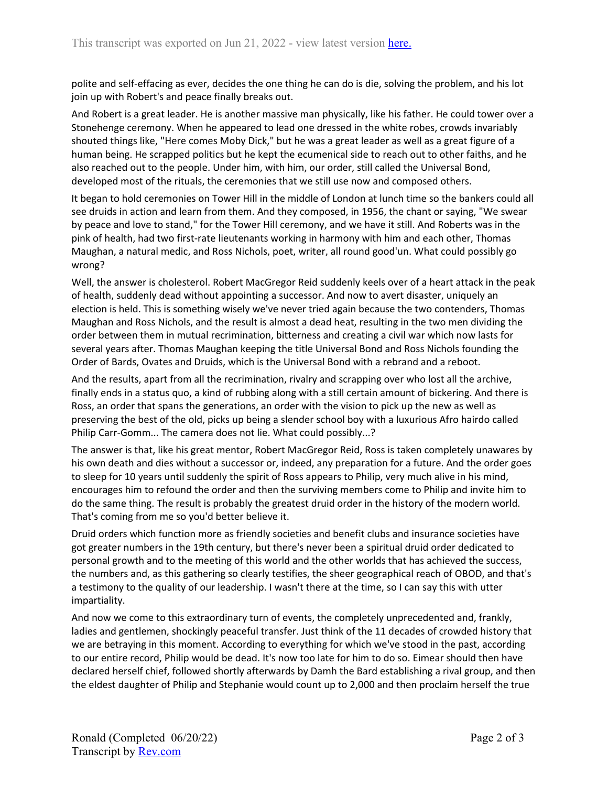polite and self-effacing as ever, decides the one thing he can do is die, solving the problem, and his lot join up with Robert's and peace finally breaks out.

And Robert is a great leader. He is another massive man physically, like his father. He could tower over a Stonehenge ceremony. When he appeared to lead one dressed in the white robes, crowds invariably shouted things like, "Here comes Moby Dick," but he was a great leader as well as a great figure of a human being. He scrapped politics but he kept the ecumenical side to reach out to other faiths, and he also reached out to the people. Under him, with him, our order, still called the Universal Bond, developed most of the rituals, the ceremonies that we still use now and composed others.

It began to hold ceremonies on Tower Hill in the middle of London at lunch time so the bankers could all see druids in action and learn from them. And they composed, in 1956, the chant or saying, "We swear by peace and love to stand," for the Tower Hill ceremony, and we have it still. And Roberts was in the pink of health, had two first-rate lieutenants working in harmony with him and each other, Thomas Maughan, a natural medic, and Ross Nichols, poet, writer, all round good'un. What could possibly go wrong?

Well, the answer is cholesterol. Robert MacGregor Reid suddenly keels over of a heart attack in the peak of health, suddenly dead without appointing a successor. And now to avert disaster, uniquely an election is held. This is something wisely we've never tried again because the two contenders, Thomas Maughan and Ross Nichols, and the result is almost a dead heat, resulting in the two men dividing the order between them in mutual recrimination, bitterness and creating a civil war which now lasts for several years after. Thomas Maughan keeping the title Universal Bond and Ross Nichols founding the Order of Bards, Ovates and Druids, which is the Universal Bond with a rebrand and a reboot.

And the results, apart from all the recrimination, rivalry and scrapping over who lost all the archive, finally ends in a status quo, a kind of rubbing along with a still certain amount of bickering. And there is Ross, an order that spans the generations, an order with the vision to pick up the new as well as preserving the best of the old, picks up being a slender school boy with a luxurious Afro hairdo called Philip Carr-Gomm... The camera does not lie. What could possibly...?

The answer is that, like his great mentor, Robert MacGregor Reid, Ross is taken completely unawares by his own death and dies without a successor or, indeed, any preparation for a future. And the order goes to sleep for 10 years until suddenly the spirit of Ross appears to Philip, very much alive in his mind, encourages him to refound the order and then the surviving members come to Philip and invite him to do the same thing. The result is probably the greatest druid order in the history of the modern world. That's coming from me so you'd better believe it.

Druid orders which function more as friendly societies and benefit clubs and insurance societies have got greater numbers in the 19th century, but there's never been a spiritual druid order dedicated to personal growth and to the meeting of this world and the other worlds that has achieved the success, the numbers and, as this gathering so clearly testifies, the sheer geographical reach of OBOD, and that's a testimony to the quality of our leadership. I wasn't there at the time, so I can say this with utter impartiality.

And now we come to this extraordinary turn of events, the completely unprecedented and, frankly, ladies and gentlemen, shockingly peaceful transfer. Just think of the 11 decades of crowded history that we are betraying in this moment. According to everything for which we've stood in the past, according to our entire record, Philip would be dead. It's now too late for him to do so. Eimear should then have declared herself chief, followed shortly afterwards by Damh the Bard establishing a rival group, and then the eldest daughter of Philip and Stephanie would count up to 2,000 and then proclaim herself the true